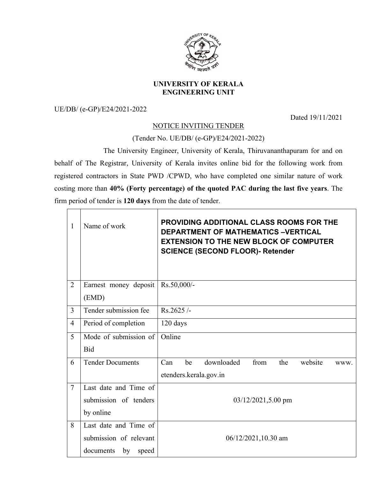

## **UNIVERSITY OF KERALA ENGINEERING UNIT**

UE/DB/ (e-GP)/E24/2021-2022

 $\Box$  $\overline{\phantom{a}}$  Dated 19/11/2021

## NOTICE INVITING TENDER

(Tender No. UE/DB/ (e-GP)/E24/2021-2022)

The University Engineer, University of Kerala, Thiruvananthapuram for and on behalf of The Registrar, University of Kerala invites online bid for the following work from registered contractors in State PWD /CPWD, who have completed one similar nature of work costing more than **40% (Forty percentage) of the quoted PAC during the last five years**. The firm period of tender is **120 days** from the date of tender.

| 1              | Name of work            | <b>PROVIDING ADDITIONAL CLASS ROOMS FOR THE</b><br><b>DEPARTMENT OF MATHEMATICS -VERTICAL</b><br><b>EXTENSION TO THE NEW BLOCK OF COMPUTER</b><br><b>SCIENCE (SECOND FLOOR)- Retender</b> |  |  |
|----------------|-------------------------|-------------------------------------------------------------------------------------------------------------------------------------------------------------------------------------------|--|--|
| $\overline{2}$ | Earnest money deposit   | Rs.50,000/-                                                                                                                                                                               |  |  |
|                | (EMD)                   |                                                                                                                                                                                           |  |  |
| $\overline{3}$ | Tender submission fee   | Rs.2625/                                                                                                                                                                                  |  |  |
| $\overline{4}$ | Period of completion    | 120 days                                                                                                                                                                                  |  |  |
| 5              | Mode of submission of   | Online                                                                                                                                                                                    |  |  |
|                | <b>Bid</b>              |                                                                                                                                                                                           |  |  |
| 6              | <b>Tender Documents</b> | downloaded<br>Can<br>be<br>from<br>website<br>the<br>WWW.                                                                                                                                 |  |  |
|                |                         | etenders.kerala.gov.in                                                                                                                                                                    |  |  |
| $\overline{7}$ | Last date and Time of   |                                                                                                                                                                                           |  |  |
|                | submission of tenders   | $03/12/2021, 5.00$ pm                                                                                                                                                                     |  |  |
|                | by online               |                                                                                                                                                                                           |  |  |
| 8              | Last date and Time of   |                                                                                                                                                                                           |  |  |
|                | submission of relevant  | 06/12/2021,10.30 am                                                                                                                                                                       |  |  |
|                | by speed<br>documents   |                                                                                                                                                                                           |  |  |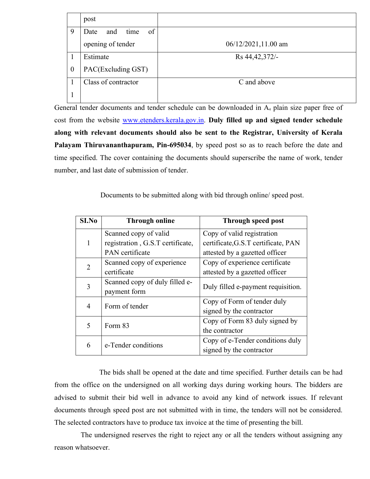|                     | post                      |                     |
|---------------------|---------------------------|---------------------|
| 9                   | of<br>time<br>Date<br>and |                     |
| opening of tender   |                           | 06/12/2021,11.00 am |
|                     | Estimate                  | Rs 44, 42, 372/-    |
| $\boldsymbol{0}$    | PAC(Excluding GST)        |                     |
| Class of contractor |                           | C and above         |
|                     |                           |                     |

General tender documents and tender schedule can be downloaded in A<sub>4</sub> plain size paper free of cost from the website www.etenders.kerala.gov.in. **Duly filled up and signed tender schedule along with relevant documents should also be sent to the Registrar, University of Kerala Palayam Thiruvananthapuram, Pin-695034**, by speed post so as to reach before the date and time specified. The cover containing the documents should superscribe the name of work, tender number, and last date of submission of tender.

Documents to be submitted along with bid through online/ speed post.

| S <sub>I.No</sub> | <b>Through online</b>            | Through speed post                  |
|-------------------|----------------------------------|-------------------------------------|
|                   | Scanned copy of valid            | Copy of valid registration          |
| 1                 | registration, G.S.T certificate, | certificate, G.S.T certificate, PAN |
|                   | <b>PAN</b> certificate           | attested by a gazetted officer      |
| 2                 | Scanned copy of experience       | Copy of experience certificate      |
|                   | certificate                      | attested by a gazetted officer      |
| 3                 | Scanned copy of duly filled e-   | Duly filled e-payment requisition.  |
|                   | payment form                     |                                     |
| 4                 | Form of tender                   | Copy of Form of tender duly         |
|                   |                                  | signed by the contractor            |
| 5                 | Form 83                          | Copy of Form 83 duly signed by      |
|                   |                                  | the contractor                      |
|                   | e-Tender conditions              | Copy of e-Tender conditions duly    |
| 6                 |                                  | signed by the contractor            |

The bids shall be opened at the date and time specified. Further details can be had from the office on the undersigned on all working days during working hours. The bidders are advised to submit their bid well in advance to avoid any kind of network issues. If relevant documents through speed post are not submitted with in time, the tenders will not be considered. The selected contractors have to produce tax invoice at the time of presenting the bill.

The undersigned reserves the right to reject any or all the tenders without assigning any reason whatsoever.